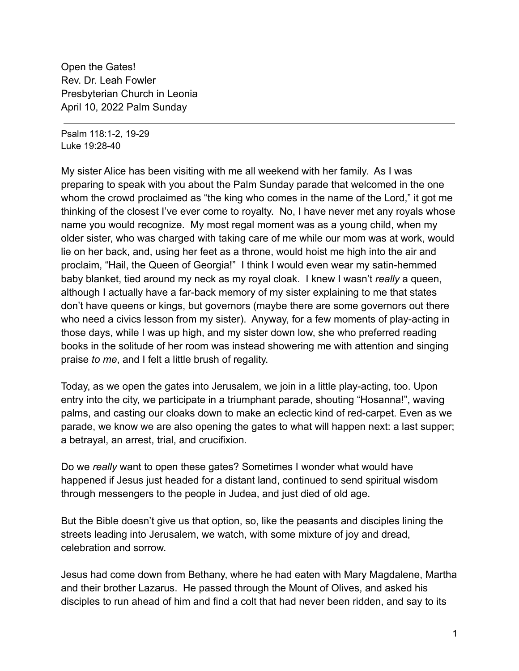Open the Gates! Rev. Dr. Leah Fowler Presbyterian Church in Leonia April 10, 2022 Palm Sunday

Psalm 118:1-2, 19-29 Luke 19:28-40

My sister Alice has been visiting with me all weekend with her family. As I was preparing to speak with you about the Palm Sunday parade that welcomed in the one whom the crowd proclaimed as "the king who comes in the name of the Lord," it got me thinking of the closest I've ever come to royalty. No, I have never met any royals whose name you would recognize. My most regal moment was as a young child, when my older sister, who was charged with taking care of me while our mom was at work, would lie on her back, and, using her feet as a throne, would hoist me high into the air and proclaim, "Hail, the Queen of Georgia!" I think I would even wear my satin-hemmed baby blanket, tied around my neck as my royal cloak. I knew I wasn't *really* a queen, although I actually have a far-back memory of my sister explaining to me that states don't have queens or kings, but governors (maybe there are some governors out there who need a civics lesson from my sister). Anyway, for a few moments of play-acting in those days, while I was up high, and my sister down low, she who preferred reading books in the solitude of her room was instead showering me with attention and singing praise *to me*, and I felt a little brush of regality.

Today, as we open the gates into Jerusalem, we join in a little play-acting, too. Upon entry into the city, we participate in a triumphant parade, shouting "Hosanna!", waving palms, and casting our cloaks down to make an eclectic kind of red-carpet. Even as we parade, we know we are also opening the gates to what will happen next: a last supper; a betrayal, an arrest, trial, and crucifixion.

Do we *really* want to open these gates? Sometimes I wonder what would have happened if Jesus just headed for a distant land, continued to send spiritual wisdom through messengers to the people in Judea, and just died of old age.

But the Bible doesn't give us that option, so, like the peasants and disciples lining the streets leading into Jerusalem, we watch, with some mixture of joy and dread, celebration and sorrow.

Jesus had come down from Bethany, where he had eaten with Mary Magdalene, Martha and their brother Lazarus. He passed through the Mount of Olives, and asked his disciples to run ahead of him and find a colt that had never been ridden, and say to its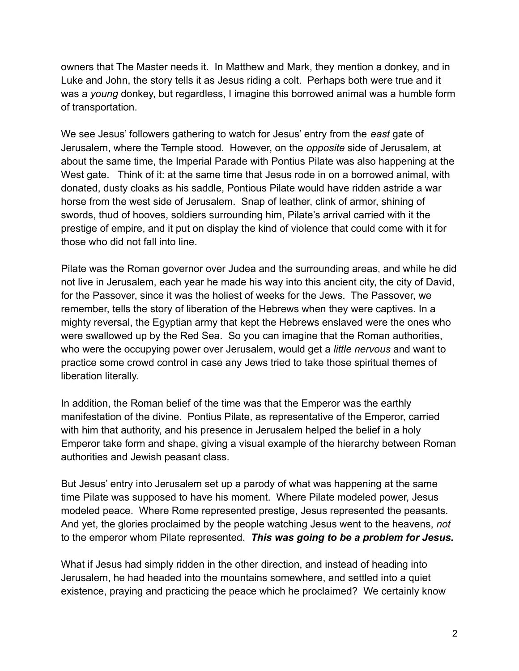owners that The Master needs it. In Matthew and Mark, they mention a donkey, and in Luke and John, the story tells it as Jesus riding a colt. Perhaps both were true and it was a *young* donkey, but regardless, I imagine this borrowed animal was a humble form of transportation.

We see Jesus' followers gathering to watch for Jesus' entry from the *east* gate of Jerusalem, where the Temple stood. However, on the *opposite* side of Jerusalem, at about the same time, the Imperial Parade with Pontius Pilate was also happening at the West gate. Think of it: at the same time that Jesus rode in on a borrowed animal, with donated, dusty cloaks as his saddle, Pontious Pilate would have ridden astride a war horse from the west side of Jerusalem. Snap of leather, clink of armor, shining of swords, thud of hooves, soldiers surrounding him, Pilate's arrival carried with it the prestige of empire, and it put on display the kind of violence that could come with it for those who did not fall into line.

Pilate was the Roman governor over Judea and the surrounding areas, and while he did not live in Jerusalem, each year he made his way into this ancient city, the city of David, for the Passover, since it was the holiest of weeks for the Jews. The Passover, we remember, tells the story of liberation of the Hebrews when they were captives. In a mighty reversal, the Egyptian army that kept the Hebrews enslaved were the ones who were swallowed up by the Red Sea. So you can imagine that the Roman authorities, who were the occupying power over Jerusalem, would get a *little nervous* and want to practice some crowd control in case any Jews tried to take those spiritual themes of liberation literally.

In addition, the Roman belief of the time was that the Emperor was the earthly manifestation of the divine. Pontius Pilate, as representative of the Emperor, carried with him that authority, and his presence in Jerusalem helped the belief in a holy Emperor take form and shape, giving a visual example of the hierarchy between Roman authorities and Jewish peasant class.

But Jesus' entry into Jerusalem set up a parody of what was happening at the same time Pilate was supposed to have his moment. Where Pilate modeled power, Jesus modeled peace. Where Rome represented prestige, Jesus represented the peasants. And yet, the glories proclaimed by the people watching Jesus went to the heavens, *not* to the emperor whom Pilate represented. *This was going to be a problem for Jesus.*

What if Jesus had simply ridden in the other direction, and instead of heading into Jerusalem, he had headed into the mountains somewhere, and settled into a quiet existence, praying and practicing the peace which he proclaimed? We certainly know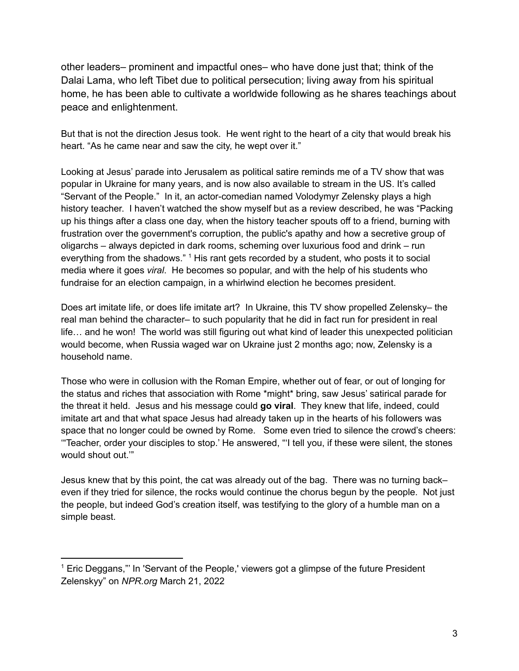other leaders– prominent and impactful ones– who have done just that; think of the Dalai Lama, who left Tibet due to political persecution; living away from his spiritual home, he has been able to cultivate a worldwide following as he shares teachings about peace and enlightenment.

But that is not the direction Jesus took. He went right to the heart of a city that would break his heart. "As he came near and saw the city, he wept over it."

Looking at Jesus' parade into Jerusalem as political satire reminds me of a TV show that was popular in Ukraine for many years, and is now also available to stream in the US. It's called "Servant of the People." In it, an actor-comedian named Volodymyr Zelensky plays a high history teacher. I haven't watched the show myself but as a review described, he was "Packing up his things after a class one day, when the history teacher spouts off to a friend, burning with frustration over the government's corruption, the public's apathy and how a secretive group of oligarchs – always depicted in dark rooms, scheming over luxurious food and drink – run everything from the shadows." <sup>1</sup> His rant gets recorded by a student, who posts it to social media where it goes *viral*. He becomes so popular, and with the help of his students who fundraise for an election campaign, in a whirlwind election he becomes president.

Does art imitate life, or does life imitate art? In Ukraine, this TV show propelled Zelensky– the real man behind the character– to such popularity that he did in fact run for president in real life… and he won! The world was still figuring out what kind of leader this unexpected politician would become, when Russia waged war on Ukraine just 2 months ago; now, Zelensky is a household name.

Those who were in collusion with the Roman Empire, whether out of fear, or out of longing for the status and riches that association with Rome \*might\* bring, saw Jesus' satirical parade for the threat it held. Jesus and his message could **go viral**. They knew that life, indeed, could imitate art and that what space Jesus had already taken up in the hearts of his followers was space that no longer could be owned by Rome. Some even tried to silence the crowd's cheers: '"Teacher, order your disciples to stop.' He answered, "'I tell you, if these were silent, the stones would shout out.'"

Jesus knew that by this point, the cat was already out of the bag. There was no turning back– even if they tried for silence, the rocks would continue the chorus begun by the people. Not just the people, but indeed God's creation itself, was testifying to the glory of a humble man on a simple beast.

<sup>&</sup>lt;sup>1</sup> Eric Deggans,"' In 'Servant of the People,' viewers got a glimpse of the future President Zelenskyy" on *NPR.org* March 21, 2022